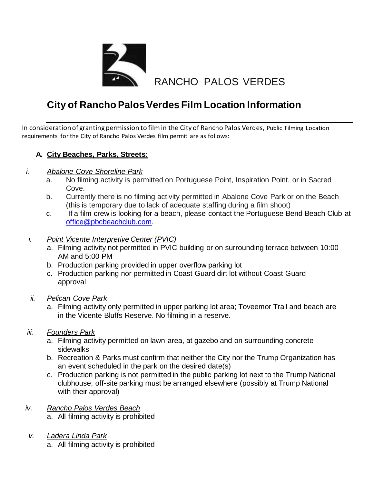

# **City of Rancho Palos Verdes Film Location Information**

In consideration of granting permission to film in the City of Rancho Palos Verdes, Public Filming Location requirements for the City of Rancho Palos Verdes film permit are as follows:

## **A. City Beaches, Parks, Streets:**

- *i. Abalone Cove Shoreline Park*
	- a. No filming activity is permitted on Portuguese Point, Inspiration Point, or in Sacred Cove.
	- b. Currently there is no filming activity permitted in Abalone Cove Park or on the Beach (this is temporary due to lack of adequate staffing during a film shoot)
	- c. If a film crew is looking for a beach, please contact the Portuguese Bend Beach Club at [office@pbcbeachclub.com](mailto:office@pbcbeachclub.com).
- *i. Point Vicente Interpretive Center (PVIC)*
	- a. Filming activity not permitted in PVIC building or on surrounding terrace between 10:00 AM and 5:00 PM
	- b. Production parking provided in upper overflow parking lot
	- c. Production parking nor permitted in Coast Guard dirt lot without Coast Guard approval
- *ii. Pelican Cove Park*
	- a. Filming activity only permitted in upper parking lot area; Toveemor Trail and beach are in the Vicente Bluffs Reserve. No filming in a reserve.
- *iii. Founders Park*
	- a. Filming activity permitted on lawn area, at gazebo and on surrounding concrete sidewalks
	- b. Recreation & Parks must confirm that neither the City nor the Trump Organization has an event scheduled in the park on the desired date(s)
	- c. Production parking is not permitted in the public parking lot next to the Trump National clubhouse; off-site parking must be arranged elsewhere (possibly at Trump National with their approval)
- *iv. Rancho Palos Verdes Beach* a. All filming activity is prohibited
- *v. Ladera Linda Park*
	- a. All filming activity is prohibited